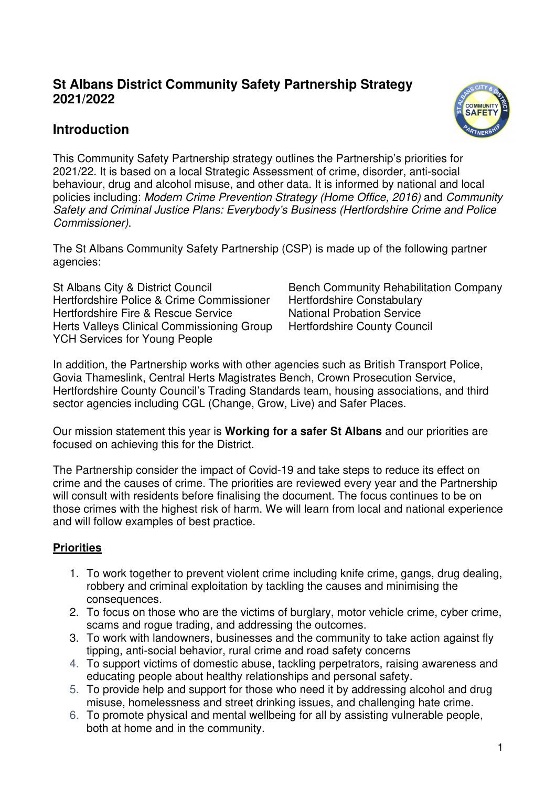## **St Albans District Community Safety Partnership Strategy 2021/2022**

## **Introduction**



This Community Safety Partnership strategy outlines the Partnership's priorities for 2021/22. It is based on a local Strategic Assessment of crime, disorder, anti-social behaviour, drug and alcohol misuse, and other data. It is informed by national and local policies including: Modern Crime Prevention Strategy (Home Office, 2016) and Community Safety and Criminal Justice Plans: Everybody's Business (Hertfordshire Crime and Police Commissioner).

The St Albans Community Safety Partnership (CSP) is made up of the following partner agencies:

St Albans City & District Council Bench Community Rehabilitation Company Hertfordshire Police & Crime Commissioner Hertfordshire Constabulary Hertfordshire Fire & Rescue Service National Probation Service Herts Valleys Clinical Commissioning Group Hertfordshire County Council YCH Services for Young People

In addition, the Partnership works with other agencies such as British Transport Police, Govia Thameslink, Central Herts Magistrates Bench, Crown Prosecution Service, Hertfordshire County Council's Trading Standards team, housing associations, and third sector agencies including CGL (Change, Grow, Live) and Safer Places.

Our mission statement this year is **Working for a safer St Albans** and our priorities are focused on achieving this for the District.

The Partnership consider the impact of Covid-19 and take steps to reduce its effect on crime and the causes of crime. The priorities are reviewed every year and the Partnership will consult with residents before finalising the document. The focus continues to be on those crimes with the highest risk of harm. We will learn from local and national experience and will follow examples of best practice.

#### **Priorities**

- 1. To work together to prevent violent crime including knife crime, gangs, drug dealing, robbery and criminal exploitation by tackling the causes and minimising the consequences.
- 2. To focus on those who are the victims of burglary, motor vehicle crime, cyber crime, scams and rogue trading, and addressing the outcomes.
- 3. To work with landowners, businesses and the community to take action against fly tipping, anti-social behavior, rural crime and road safety concerns
- 4. To support victims of domestic abuse, tackling perpetrators, raising awareness and educating people about healthy relationships and personal safety.
- 5. To provide help and support for those who need it by addressing alcohol and drug misuse, homelessness and street drinking issues, and challenging hate crime.
- 6. To promote physical and mental wellbeing for all by assisting vulnerable people, both at home and in the community.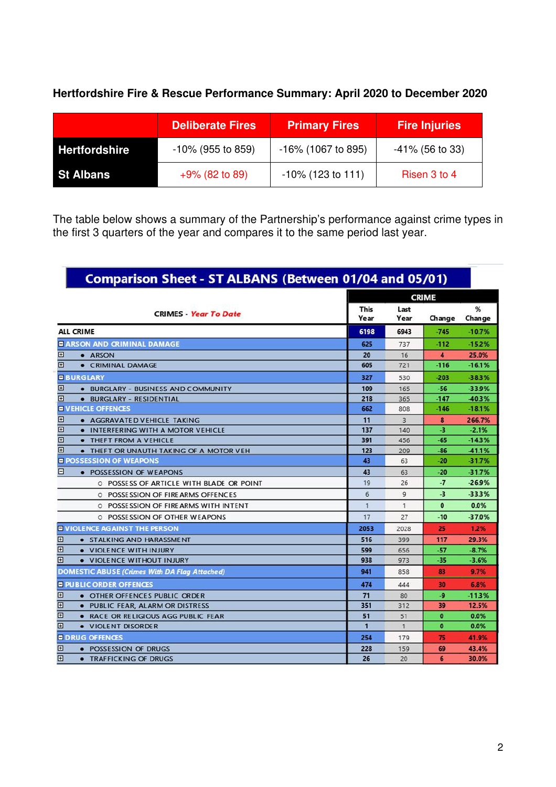### **Hertfordshire Fire & Rescue Performance Summary: April 2020 to December 2020**

|                      | <b>Deliberate Fires</b> | <b>Primary Fires</b>  | <b>Fire Injuries</b> |
|----------------------|-------------------------|-----------------------|----------------------|
| <b>Hertfordshire</b> | $-10\%$ (955 to 859)    | $-16\%$ (1067 to 895) | $-41\%$ (56 to 33)   |
| <b>St Albans</b>     | $+9\%$ (82 to 89)       | $-10\%$ (123 to 111)  | Risen 3 to 4         |

The table below shows a summary of the Partnership's performance against crime types in the first 3 quarters of the year and compares it to the same period last year.

|                                                           |                     | <b>CRIME</b>   |                      |             |
|-----------------------------------------------------------|---------------------|----------------|----------------------|-------------|
| <b>CRIMES</b> Year To Date                                | <b>This</b><br>Year | Last<br>Year   | Change               | %<br>Change |
| <b>ALL CRIME</b>                                          | 6198                | 6943           | $-745$               | $-10.7%$    |
| <b>E ARSON AND CRIMINAL DAMAGE</b>                        | 625                 | 737            | $-112$               | $-15.2%$    |
| ⊡<br>· ARSON                                              | 20                  | 16             | $\blacktriangleleft$ | 25.0%       |
| $\Box$<br>• CRIMINAL DAMAGE                               | 605                 | 721            | $-116$               | $-16.1%$    |
| <b>E BURGLARY</b>                                         | 327                 | 530            | $-203$               | $-38.3%$    |
| $\boxplus$<br>. BURGLARY - BUSINESS AND COMMUNITY         | 109                 | 165            | -56                  | $-33.9%$    |
| 田<br>· BURGLARY - RESIDENTIAL                             | 218                 | 365            | $-147$               | -40.3%      |
| <b>E VEHICLE OFFENCES</b>                                 | 662                 | 808            | $-146$               | $-18.1%$    |
| ⊞<br>• AGGRAVATED VEHICLE TAKING                          | 11                  | $\overline{3}$ | 8                    | 266.7%      |
| $\boxplus$<br>. INTERFERING WITH A MOTOR VEHICLE          | 137                 | 140            | -3                   | $-2.1%$     |
| $\boxplus$<br>• THEFT FROM A VEHICLE                      | 391                 | 456            | $-65$                | $-14.3%$    |
| $\overline{E}$<br>• THEFT OR UNAUTH TAKING OF A MOTOR VEH | 123                 | 209            | -86                  | 41.1%       |
| <b>E POSSESSION OF WEAPONS</b>                            | 43                  | 63             | -20                  | $-31.7%$    |
| E<br>• POSSESSION OF WEAPONS                              | 43                  | 63             | $-20$                | $-31.7%$    |
| O POSSESS OF ARTICLE WITH BLADE OR POINT                  | 19                  | 26             | $-7$                 | $-26.9%$    |
| O POSSE SSION OF FIRE ARMS OFFENCES                       | 6                   | $\overline{9}$ | $-3$                 | $-33.3%$    |
| O POSSESSION OF FIREARMS WITH INTENT                      | 1                   | 1              | $\bullet$            | 0.0%        |
| O POSSESSION OF OTHER WEAPONS                             | 17                  | 27             | -10                  | $-37.0%$    |
| <b>E VIOLENCE AGAINST THE PERSON</b>                      | 2053                | 2028           | 25                   | 1.2%        |
| 田<br>· STALKING AND HARASSMENT                            | 516                 | 399            | 117                  | 29.3%       |
| $\boxplus$<br>. VIOLENCE WITH INJURY                      | 599                 | 656            | -57                  | $-8.7%$     |
| 囝<br>. VIOLENCE WITHOUT INJURY                            | 938                 | 973            | -35                  | $-3.6%$     |
| <b>DOMESTIC ABUSE (Crimes With DA Flag Attached)</b>      | 941                 | 858            | 83                   | 9.7%        |
| <b>E PUBLIC ORDER OFFENCES</b>                            | 474                 | 444            | 30                   | 6.8%        |
| $\boxplus$<br>• OTHER OFFENCES PUBLIC ORDER               | 71                  | 80             | $-9$                 | $-11.3%$    |
| $\overline{E}$<br>. PUBLIC FEAR, ALARM OR DISTRESS        | 351                 | 312            | 39                   | 12.5%       |
| $\overline{E}$<br>. RACE OR RELIGIOUS AGG PUBLIC FEAR     | 51                  | 51             | $\bf{0}$             | 0.0%        |
| $\mathbf{E}$<br>• VIOLENT DISORDER                        | 1                   | $\mathbf{1}$   | $\bullet$            | 0.0%        |
| <b>E DRUG OFFENCES</b>                                    | 254                 | 179            | 75                   | 41.9%       |
| ⊡<br>• POSSESSION OF DRUGS                                | 228                 | 159            | 69                   | 43.4%       |
| 面<br><b>• TRAFFICKING OF DRUGS</b>                        | 26                  | 20             | 6                    | 30.0%       |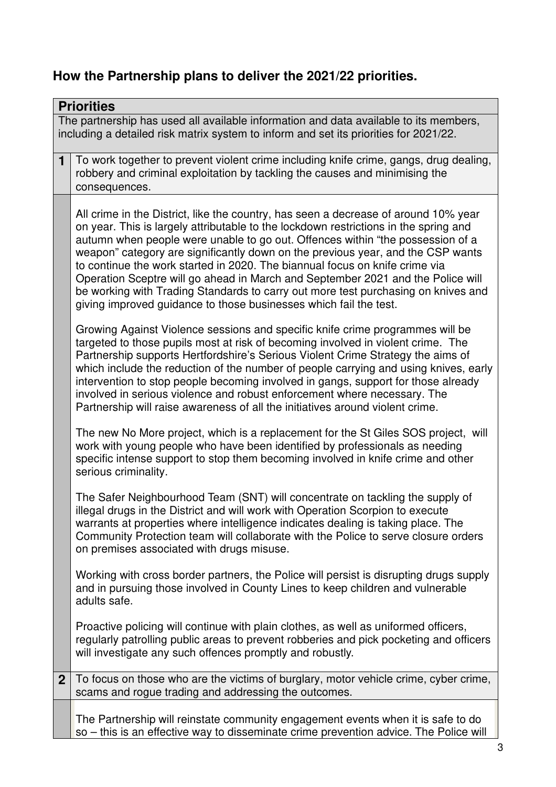# **How the Partnership plans to deliver the 2021/22 priorities.**

|                | <b>Priorities</b>                                                                                                                                                                                                                                                                                                                                                                                                                                                                                                                                                                                                                                                            |  |
|----------------|------------------------------------------------------------------------------------------------------------------------------------------------------------------------------------------------------------------------------------------------------------------------------------------------------------------------------------------------------------------------------------------------------------------------------------------------------------------------------------------------------------------------------------------------------------------------------------------------------------------------------------------------------------------------------|--|
|                | The partnership has used all available information and data available to its members,<br>including a detailed risk matrix system to inform and set its priorities for 2021/22.                                                                                                                                                                                                                                                                                                                                                                                                                                                                                               |  |
| $\mathbf{1}$   | To work together to prevent violent crime including knife crime, gangs, drug dealing,<br>robbery and criminal exploitation by tackling the causes and minimising the<br>consequences.                                                                                                                                                                                                                                                                                                                                                                                                                                                                                        |  |
|                | All crime in the District, like the country, has seen a decrease of around 10% year<br>on year. This is largely attributable to the lockdown restrictions in the spring and<br>autumn when people were unable to go out. Offences within "the possession of a<br>weapon" category are significantly down on the previous year, and the CSP wants<br>to continue the work started in 2020. The biannual focus on knife crime via<br>Operation Sceptre will go ahead in March and September 2021 and the Police will<br>be working with Trading Standards to carry out more test purchasing on knives and<br>giving improved guidance to those businesses which fail the test. |  |
|                | Growing Against Violence sessions and specific knife crime programmes will be<br>targeted to those pupils most at risk of becoming involved in violent crime. The<br>Partnership supports Hertfordshire's Serious Violent Crime Strategy the aims of<br>which include the reduction of the number of people carrying and using knives, early<br>intervention to stop people becoming involved in gangs, support for those already<br>involved in serious violence and robust enforcement where necessary. The<br>Partnership will raise awareness of all the initiatives around violent crime.                                                                               |  |
|                | The new No More project, which is a replacement for the St Giles SOS project, will<br>work with young people who have been identified by professionals as needing<br>specific intense support to stop them becoming involved in knife crime and other<br>serious criminality.                                                                                                                                                                                                                                                                                                                                                                                                |  |
|                | The Safer Neighbourhood Team (SNT) will concentrate on tackling the supply of<br>illegal drugs in the District and will work with Operation Scorpion to execute<br>warrants at properties where intelligence indicates dealing is taking place. The<br>Community Protection team will collaborate with the Police to serve closure orders<br>on premises associated with drugs misuse.                                                                                                                                                                                                                                                                                       |  |
|                | Working with cross border partners, the Police will persist is disrupting drugs supply<br>and in pursuing those involved in County Lines to keep children and vulnerable<br>adults safe.                                                                                                                                                                                                                                                                                                                                                                                                                                                                                     |  |
|                | Proactive policing will continue with plain clothes, as well as uniformed officers,<br>regularly patrolling public areas to prevent robberies and pick pocketing and officers<br>will investigate any such offences promptly and robustly.                                                                                                                                                                                                                                                                                                                                                                                                                                   |  |
| 2 <sup>2</sup> | To focus on those who are the victims of burglary, motor vehicle crime, cyber crime,<br>scams and rogue trading and addressing the outcomes.                                                                                                                                                                                                                                                                                                                                                                                                                                                                                                                                 |  |
|                | The Partnership will reinstate community engagement events when it is safe to do<br>so – this is an effective way to disseminate crime prevention advice. The Police will                                                                                                                                                                                                                                                                                                                                                                                                                                                                                                    |  |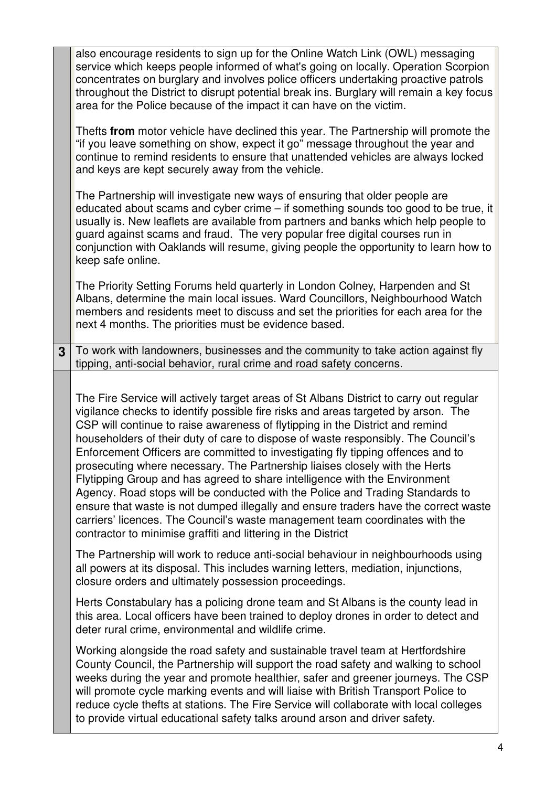|   | also encourage residents to sign up for the Online Watch Link (OWL) messaging<br>service which keeps people informed of what's going on locally. Operation Scorpion<br>concentrates on burglary and involves police officers undertaking proactive patrols<br>throughout the District to disrupt potential break ins. Burglary will remain a key focus<br>area for the Police because of the impact it can have on the victim.<br>Thefts from motor vehicle have declined this year. The Partnership will promote the<br>"if you leave something on show, expect it go" message throughout the year and<br>continue to remind residents to ensure that unattended vehicles are always locked<br>and keys are kept securely away from the vehicle.                                                                                                                                                                          |
|---|----------------------------------------------------------------------------------------------------------------------------------------------------------------------------------------------------------------------------------------------------------------------------------------------------------------------------------------------------------------------------------------------------------------------------------------------------------------------------------------------------------------------------------------------------------------------------------------------------------------------------------------------------------------------------------------------------------------------------------------------------------------------------------------------------------------------------------------------------------------------------------------------------------------------------|
|   | The Partnership will investigate new ways of ensuring that older people are<br>educated about scams and cyber crime – if something sounds too good to be true, it<br>usually is. New leaflets are available from partners and banks which help people to<br>guard against scams and fraud. The very popular free digital courses run in<br>conjunction with Oaklands will resume, giving people the opportunity to learn how to<br>keep safe online.                                                                                                                                                                                                                                                                                                                                                                                                                                                                       |
|   | The Priority Setting Forums held quarterly in London Colney, Harpenden and St<br>Albans, determine the main local issues. Ward Councillors, Neighbourhood Watch<br>members and residents meet to discuss and set the priorities for each area for the<br>next 4 months. The priorities must be evidence based.                                                                                                                                                                                                                                                                                                                                                                                                                                                                                                                                                                                                             |
| 3 | To work with landowners, businesses and the community to take action against fly<br>tipping, anti-social behavior, rural crime and road safety concerns.                                                                                                                                                                                                                                                                                                                                                                                                                                                                                                                                                                                                                                                                                                                                                                   |
|   | The Fire Service will actively target areas of St Albans District to carry out regular<br>vigilance checks to identify possible fire risks and areas targeted by arson. The<br>CSP will continue to raise awareness of flytipping in the District and remind<br>householders of their duty of care to dispose of waste responsibly. The Council's<br>Enforcement Officers are committed to investigating fly tipping offences and to<br>prosecuting where necessary. The Partnership liaises closely with the Herts<br>Flytipping Group and has agreed to share intelligence with the Environment<br>Agency. Road stops will be conducted with the Police and Trading Standards to<br>ensure that waste is not dumped illegally and ensure traders have the correct waste<br>carriers' licences. The Council's waste management team coordinates with the<br>contractor to minimise graffiti and littering in the District |
|   | The Partnership will work to reduce anti-social behaviour in neighbourhoods using<br>all powers at its disposal. This includes warning letters, mediation, injunctions,<br>closure orders and ultimately possession proceedings.                                                                                                                                                                                                                                                                                                                                                                                                                                                                                                                                                                                                                                                                                           |
|   | Herts Constabulary has a policing drone team and St Albans is the county lead in<br>this area. Local officers have been trained to deploy drones in order to detect and<br>deter rural crime, environmental and wildlife crime.                                                                                                                                                                                                                                                                                                                                                                                                                                                                                                                                                                                                                                                                                            |
|   | Working alongside the road safety and sustainable travel team at Hertfordshire<br>County Council, the Partnership will support the road safety and walking to school<br>weeks during the year and promote healthier, safer and greener journeys. The CSP<br>will promote cycle marking events and will liaise with British Transport Police to<br>reduce cycle thefts at stations. The Fire Service will collaborate with local colleges<br>to provide virtual educational safety talks around arson and driver safety.                                                                                                                                                                                                                                                                                                                                                                                                    |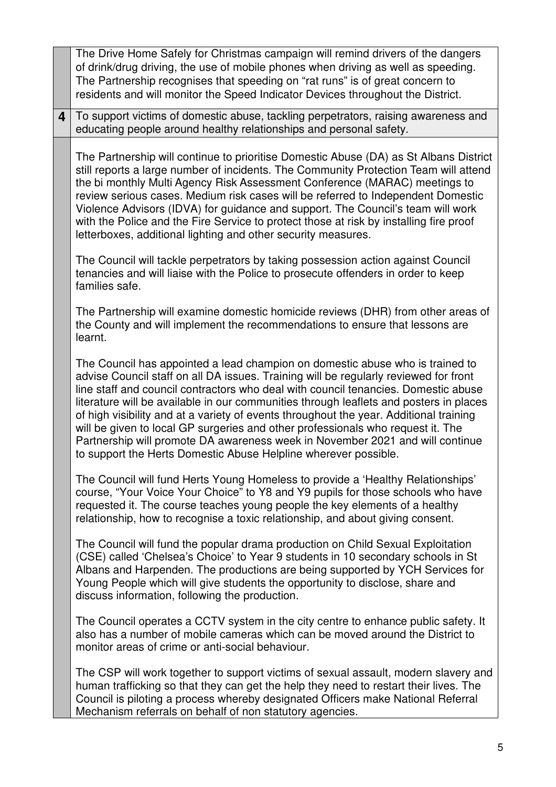|                         | The Drive Home Safely for Christmas campaign will remind drivers of the dangers<br>of drink/drug driving, the use of mobile phones when driving as well as speeding.<br>The Partnership recognises that speeding on "rat runs" is of great concern to<br>residents and will monitor the Speed Indicator Devices throughout the District.                                                                                                                                                                                                                                                                                                                                               |
|-------------------------|----------------------------------------------------------------------------------------------------------------------------------------------------------------------------------------------------------------------------------------------------------------------------------------------------------------------------------------------------------------------------------------------------------------------------------------------------------------------------------------------------------------------------------------------------------------------------------------------------------------------------------------------------------------------------------------|
| $\overline{\mathbf{4}}$ | To support victims of domestic abuse, tackling perpetrators, raising awareness and<br>educating people around healthy relationships and personal safety.                                                                                                                                                                                                                                                                                                                                                                                                                                                                                                                               |
|                         | The Partnership will continue to prioritise Domestic Abuse (DA) as St Albans District<br>still reports a large number of incidents. The Community Protection Team will attend<br>the bi monthly Multi Agency Risk Assessment Conference (MARAC) meetings to<br>review serious cases. Medium risk cases will be referred to Independent Domestic<br>Violence Advisors (IDVA) for guidance and support. The Council's team will work<br>with the Police and the Fire Service to protect those at risk by installing fire proof<br>letterboxes, additional lighting and other security measures.                                                                                          |
|                         | The Council will tackle perpetrators by taking possession action against Council<br>tenancies and will liaise with the Police to prosecute offenders in order to keep<br>families safe.                                                                                                                                                                                                                                                                                                                                                                                                                                                                                                |
|                         | The Partnership will examine domestic homicide reviews (DHR) from other areas of<br>the County and will implement the recommendations to ensure that lessons are<br>learnt.                                                                                                                                                                                                                                                                                                                                                                                                                                                                                                            |
|                         | The Council has appointed a lead champion on domestic abuse who is trained to<br>advise Council staff on all DA issues. Training will be regularly reviewed for front<br>line staff and council contractors who deal with council tenancies. Domestic abuse<br>literature will be available in our communities through leaflets and posters in places<br>of high visibility and at a variety of events throughout the year. Additional training<br>will be given to local GP surgeries and other professionals who request it. The<br>Partnership will promote DA awareness week in November 2021 and will continue<br>to support the Herts Domestic Abuse Helpline wherever possible. |
|                         | The Council will fund Herts Young Homeless to provide a 'Healthy Relationships'<br>course, "Your Voice Your Choice" to Y8 and Y9 pupils for those schools who have<br>requested it. The course teaches young people the key elements of a healthy<br>relationship, how to recognise a toxic relationship, and about giving consent.                                                                                                                                                                                                                                                                                                                                                    |
|                         | The Council will fund the popular drama production on Child Sexual Exploitation<br>(CSE) called 'Chelsea's Choice' to Year 9 students in 10 secondary schools in St<br>Albans and Harpenden. The productions are being supported by YCH Services for<br>Young People which will give students the opportunity to disclose, share and<br>discuss information, following the production.                                                                                                                                                                                                                                                                                                 |
|                         | The Council operates a CCTV system in the city centre to enhance public safety. It<br>also has a number of mobile cameras which can be moved around the District to<br>monitor areas of crime or anti-social behaviour.                                                                                                                                                                                                                                                                                                                                                                                                                                                                |
|                         | The CSP will work together to support victims of sexual assault, modern slavery and<br>human trafficking so that they can get the help they need to restart their lives. The<br>Council is piloting a process whereby designated Officers make National Referral<br>Mechanism referrals on behalf of non statutory agencies.                                                                                                                                                                                                                                                                                                                                                           |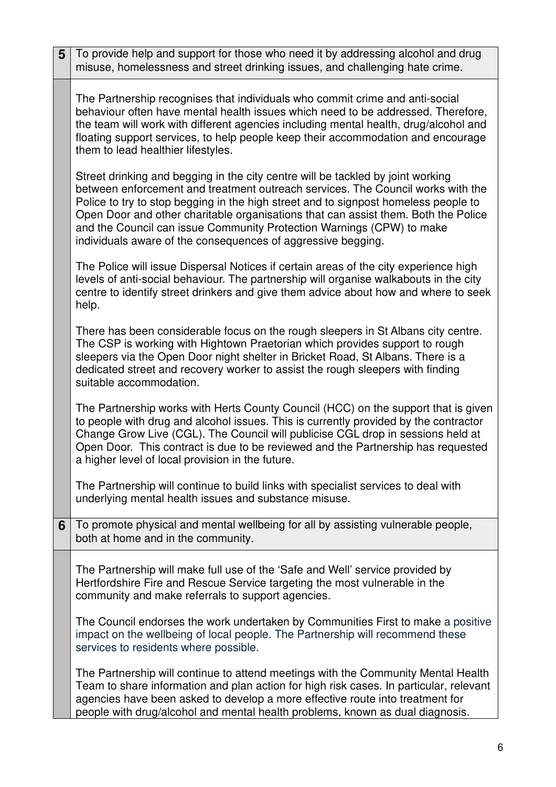| 5 | To provide help and support for those who need it by addressing alcohol and drug<br>misuse, homelessness and street drinking issues, and challenging hate crime.                                                                                                                                                                                                                                                                                                                         |
|---|------------------------------------------------------------------------------------------------------------------------------------------------------------------------------------------------------------------------------------------------------------------------------------------------------------------------------------------------------------------------------------------------------------------------------------------------------------------------------------------|
|   | The Partnership recognises that individuals who commit crime and anti-social<br>behaviour often have mental health issues which need to be addressed. Therefore,<br>the team will work with different agencies including mental health, drug/alcohol and<br>floating support services, to help people keep their accommodation and encourage<br>them to lead healthier lifestyles.                                                                                                       |
|   | Street drinking and begging in the city centre will be tackled by joint working<br>between enforcement and treatment outreach services. The Council works with the<br>Police to try to stop begging in the high street and to signpost homeless people to<br>Open Door and other charitable organisations that can assist them. Both the Police<br>and the Council can issue Community Protection Warnings (CPW) to make<br>individuals aware of the consequences of aggressive begging. |
|   | The Police will issue Dispersal Notices if certain areas of the city experience high<br>levels of anti-social behaviour. The partnership will organise walkabouts in the city<br>centre to identify street drinkers and give them advice about how and where to seek<br>help.                                                                                                                                                                                                            |
|   | There has been considerable focus on the rough sleepers in St Albans city centre.<br>The CSP is working with Hightown Praetorian which provides support to rough<br>sleepers via the Open Door night shelter in Bricket Road, St Albans. There is a<br>dedicated street and recovery worker to assist the rough sleepers with finding<br>suitable accommodation.                                                                                                                         |
|   | The Partnership works with Herts County Council (HCC) on the support that is given<br>to people with drug and alcohol issues. This is currently provided by the contractor<br>Change Grow Live (CGL). The Council will publicise CGL drop in sessions held at<br>Open Door. This contract is due to be reviewed and the Partnership has requested<br>a higher level of local provision in the future                                                                                     |
|   | The Partnership will continue to build links with specialist services to deal with<br>underlying mental health issues and substance misuse.                                                                                                                                                                                                                                                                                                                                              |
| 6 | To promote physical and mental wellbeing for all by assisting vulnerable people,<br>both at home and in the community.                                                                                                                                                                                                                                                                                                                                                                   |
|   | The Partnership will make full use of the 'Safe and Well' service provided by<br>Hertfordshire Fire and Rescue Service targeting the most vulnerable in the<br>community and make referrals to support agencies.                                                                                                                                                                                                                                                                         |
|   | The Council endorses the work undertaken by Communities First to make a positive<br>impact on the wellbeing of local people. The Partnership will recommend these<br>services to residents where possible.                                                                                                                                                                                                                                                                               |
|   | The Partnership will continue to attend meetings with the Community Mental Health<br>Team to share information and plan action for high risk cases. In particular, relevant<br>agencies have been asked to develop a more effective route into treatment for<br>people with drug/alcohol and mental health problems, known as dual diagnosis.                                                                                                                                            |